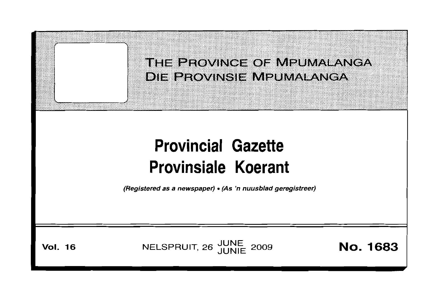THE PROVINCE OF MPUMALANGA **DIE PROVINSIE MPUMALANGA** 

# **Provincial Gazette Provinsiale Koerant**

(Registered as a newspaper) • (As 'n nuusblad geregistreer)

**Vol.** 16 **NELSPRUIT, 26** JUNE 2009 **No. 1683**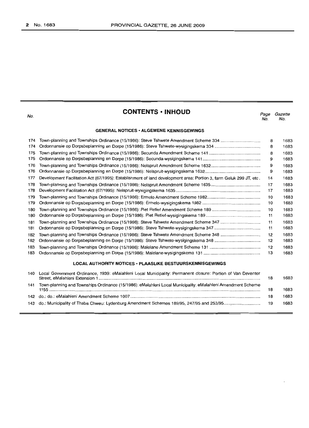| No.                                                              | <b>CONTENTS · INHOUD</b>                                                                                           | Page<br>No. | Gazette<br>No. |  |  |  |
|------------------------------------------------------------------|--------------------------------------------------------------------------------------------------------------------|-------------|----------------|--|--|--|
| <b>GENERAL NOTICES · ALGEMENE KENNISGEWINGS</b>                  |                                                                                                                    |             |                |  |  |  |
| 174                                                              | Town-planning and Townships Ordinance (15/1986): Steve Tshwete Amendment Scheme 334                                | 8           | 1683           |  |  |  |
| 174                                                              |                                                                                                                    | 8           | 1683           |  |  |  |
| 175                                                              |                                                                                                                    | 8           | 1683           |  |  |  |
| 175                                                              |                                                                                                                    | 9           | 1683           |  |  |  |
| 176                                                              |                                                                                                                    | 9           | 1683           |  |  |  |
| 176                                                              |                                                                                                                    | 9           | 1683           |  |  |  |
| 177                                                              | Development Facilitation Act (67/1995): Establishment of land development area: Portion 3, farm Geluk 299 JT, etc. | 14          | 1683           |  |  |  |
| 178                                                              |                                                                                                                    | 17          | 1683           |  |  |  |
| 178                                                              |                                                                                                                    | 17          | 1683           |  |  |  |
| 179                                                              |                                                                                                                    | 10          | 1683           |  |  |  |
| 179                                                              |                                                                                                                    | 10          | 1683           |  |  |  |
| 180                                                              |                                                                                                                    | 10          | 1683           |  |  |  |
| 180                                                              |                                                                                                                    | 11          | 1683           |  |  |  |
| 181                                                              | Town-planning and Townships Ordinance (15/1986): Steve Tshwete Amendment Scheme 347                                | 11          | 1683           |  |  |  |
| 181                                                              |                                                                                                                    | 11          | 1683           |  |  |  |
| 182                                                              | Town-planning and Townships Ordinance (15/1986): Steve Tshwete Amendment Scheme 348                                | 12          | 1683           |  |  |  |
| 182                                                              |                                                                                                                    | 12          | 1683           |  |  |  |
| 183                                                              |                                                                                                                    | 12          | 1683           |  |  |  |
| 183                                                              |                                                                                                                    | 13          | 1683           |  |  |  |
| <b>LOCAL AUTHORITY NOTICES • PLAASLIKE BESTUURSKENNISGEWINGS</b> |                                                                                                                    |             |                |  |  |  |
| 140                                                              | Local Government Ordinance, 1939: eMalahleni Local Municipality: Permanent closure: Portion of Van Deventer        |             |                |  |  |  |

|     | 140 LOCAL CIOVENTIFIENt Orginance, 1959. Eivididhem Local Municipality. Fermanent closure. Fortion of van Deventer | 18 | 1683 |
|-----|--------------------------------------------------------------------------------------------------------------------|----|------|
| 141 | Town-planning and Townships Ordinance (15/1986): eMalahleni Local Municipality: eMalahleni Amendment Scheme        |    | 1683 |
|     |                                                                                                                    |    | 1683 |
|     |                                                                                                                    | 19 | 1683 |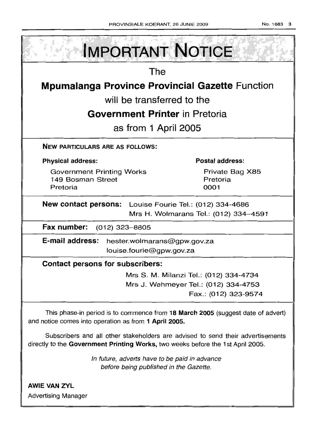| <b>IMPORTANT NOTICE</b>                                                                                                                                            |                                        |  |  |  |  |  |
|--------------------------------------------------------------------------------------------------------------------------------------------------------------------|----------------------------------------|--|--|--|--|--|
| The                                                                                                                                                                |                                        |  |  |  |  |  |
| <b>Mpumalanga Province Provincial Gazette Function</b>                                                                                                             |                                        |  |  |  |  |  |
| will be transferred to the                                                                                                                                         |                                        |  |  |  |  |  |
| <b>Government Printer</b> in Pretoria                                                                                                                              |                                        |  |  |  |  |  |
| as from 1 April 2005                                                                                                                                               |                                        |  |  |  |  |  |
| <b>NEW PARTICULARS ARE AS FOLLOWS:</b>                                                                                                                             |                                        |  |  |  |  |  |
| <b>Physical address:</b>                                                                                                                                           | Postal address:                        |  |  |  |  |  |
| <b>Government Printing Works</b><br>149 Bosman Street<br>Pretoria                                                                                                  | Private Bag X85<br>Pretoria<br>0001    |  |  |  |  |  |
| <b>New contact persons:</b> Louise Fourie Tel.: (012) 334-4686                                                                                                     |                                        |  |  |  |  |  |
|                                                                                                                                                                    | Mrs H. Wolmarans Tel.: (012) 334-4591  |  |  |  |  |  |
| Fax number:<br>$(012)$ 323-8805                                                                                                                                    |                                        |  |  |  |  |  |
| E-mail address:<br>hester.wolmarans@gpw.gov.za<br>louise.fourie@gpw.gov.za                                                                                         |                                        |  |  |  |  |  |
| <b>Contact persons for subscribers:</b>                                                                                                                            |                                        |  |  |  |  |  |
|                                                                                                                                                                    | Mrs S. M. Milanzi Tel.: (012) 334-4734 |  |  |  |  |  |
|                                                                                                                                                                    | Mrs J. Wehmeyer Tel.: (012) 334-4753   |  |  |  |  |  |
|                                                                                                                                                                    | Fax.: (012) 323-9574                   |  |  |  |  |  |
| This phase-in period is to commence from 18 March 2005 (suggest date of advert)<br>and notice comes into operation as from 1 April 2005.                           |                                        |  |  |  |  |  |
| Subscribers and all other stakeholders are advised to send their advertisements<br>directly to the Government Printing Works, two weeks before the 1st April 2005. |                                        |  |  |  |  |  |
|                                                                                                                                                                    |                                        |  |  |  |  |  |

In future, adverts have to be paid in advance before being published in the Gazette.

**AWIE VAN ZVL** Advertising Manager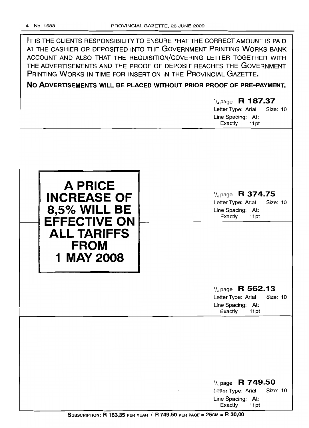**IT** IS THE CLIENTS RESPONSIBILITY TO ENSURE THAT THE CORRECT AMOUNT IS PAID AT THE CASHIER OR DEPOSITED INTO THE GOVERNMENT PRINTING WORKS BANK ACCOUNT AND ALSO THAT THE REQUISITION/COVERING LETTER TOGETHER WITH THE ADVERTISEMENTS AND THE PROOF OF DEPOSIT REACHES THE GOVERNMENT PRINTING WORKS IN TIME FOR INSERTION IN THE PROVINCIAL GAZETTE.

**No ADVERTISEMENTS WILL BE PLACED WITHOUT PRIOR PROOF OF PRE-PAYMENT.**

# 1/4 page R **1 87.37**

Letter Type: Arial Size: 10 Line Spacing: At: Exactly 11 pt



1/4 page **R 374.75**

Letter Type: Arial Size: 10 Line Spacing: At: Exactly 11 pt

# 1/4 page **R 562.13**

Letter Type: Arial Size: 10 Line Spacing: At: Exactly 11 pt

# 1/4 page R **749.50** Letter Type: Arial Size: 10 Line Spacing: At: Exactly 11 pt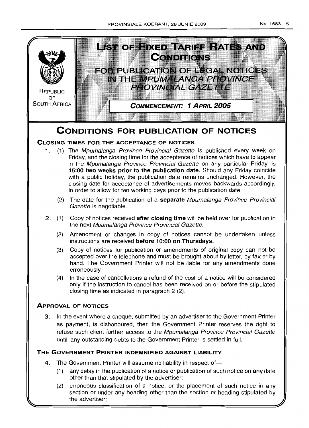

# **THE GOVERNMENT PRINTER INDEMNIFIED AGAINST LIABILITY**

4. The Government Printer will assume no liability in respect of-

untill any outstanding debts to the Government Printer is settled in full

- (1) any delay in the publicatlon of a notice or publication of such notice on any date other than that stipulated by the advertiser;
- (2) erroneous classification of a notice, or the placement of such notice in any section or under any heading other than the section or heading stipulated by the advertiser;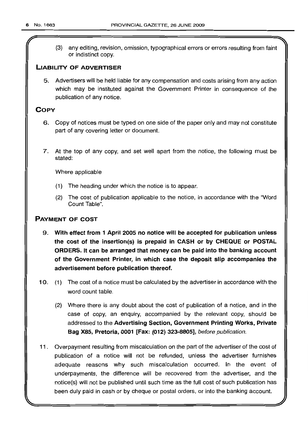(3) any editing, revision, omission, typographical errors or errors resulting from faint or indistinct copy.

#### LIABILITY OF ADVERTISER

5. Advertisers will be held liable for any compensation and costs arising from any action which may be instituted against the Government Printer in consequence of the publication of any notice.

# **COPY**

- 6. Copy of notices must be typed on one side of the paper only and may not constitute part of any covering letter or document.
- 7. At the top of any copy, and set well apart from the notice, the following must be stated:

Where applicable

- (1) The heading under which the notice is to appear.
- (2) The cost of publication applicable to the notice, in accordance with the "Word Count Table".

# PAYMENT OF COST

- 9. With effect from 1 April 2005 no notice will be accepted for publication unless the cost of the insertion(s) is prepaid in CASH or by CHEQUE or POSTAL ORDERS. It can be arranged that money can be paid into the banking account of the Government Printer, in which case the deposit slip accompanies the advertisement before publication thereof.
- 10. (1) The cost of a notice must be calculated by the advertiser in accordance with the word count table.
	- (2) Where there is any doubt about the cost of publication of a notice, and in the case of copy, an enquiry, accompanied by the relevant copy, should be addressed to the Advertising Section, Government Printing Works, Private Bag X85, Pretoria, 0001 [Fax: (012) 323-8805], before publication.
- 11. Overpayment resulting from miscalculation on the part of the advertiser of the cost of publication of a notice will not be refunded, unless the advertiser furnishes adequate reasons why such miscalculation occurred. In the event of underpayments, the difference will be recovered from the advertiser, and the notice(s) will not be published until such time as the full cost of such publication has been duly paid in cash or by cheque or postal orders, or into the banking account.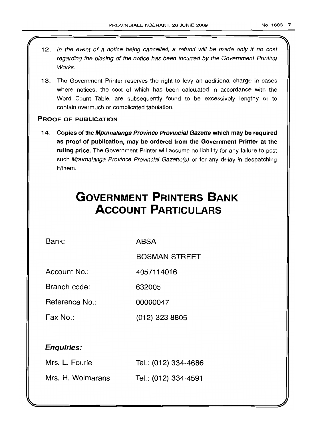- 12. In the event of a notice being cancelled, a refund will be made only if no cost regarding the placing of the notice has been incurred by the Government Printing **Works**
- 13. The Government Printer reserves the right to levy an additional charge in cases where notices, the cost of which has been calculated in accordance with the Word Count Table, are subsequently found to be excessively lengthy or to contain overmuch or complicated tabulation.

# PROOF OF PUBLICATION

14. Copies of the Mpumalanga Province Provincial Gazette which may be required as proof of publication, may be ordered from the Government Printer at the ruling price. The Government Printer will assume no liability for any failure to post such Mpumalanga Province Provincial Gazette(s) or for any delay in despatching it/them.

# **GOVERNMENT PRINTERS BANK ACCOUNT PARTICULARS**

Bank: ABSA

BOSMAN STREET

Account No.: 4057114016

Branch code: 632005

Reference No.: 00000047

Fax No.: (012) 323 8805

# Enquiries:

| Mrs. L. Fourie    | Tel.: (012) 334-4686 |
|-------------------|----------------------|
| Mrs. H. Wolmarans | Tel.: (012) 334-4591 |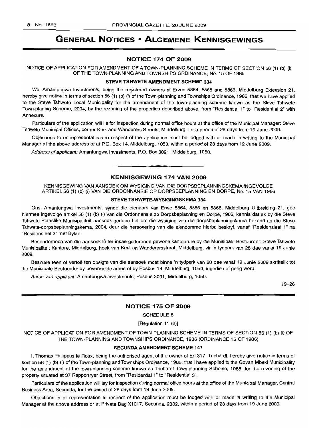# **GENERAL NOTICES • ALGEMENE KENNISGEWINGS**

#### **NOTICE 174 OF 2009**

NOTICE OF APPLICATION FOR AMENDMENT OF A TOWN-PLANNING SCHEME IN TERMS OF SECTION 56 (1) (b) (i) OF THE TOWN-PLANNING AND TOWNSHIPS ORDINANCE, No. 15 OF 1986

#### **STEVE TSHWETE AMENDMENT SCHEME 334**

We, Amantungwa Investments, being the registered owners of Erven 5864, 5865 and 5866, Middelburg Extension 21, hereby give notice in terms of section 56 (1) (b) (i) of the Town-planning and Townships Ordinance, 1986, that we have applied to the Steve Tshwete Local Municipality for the amendment of the town-planning scheme known as the Steve Tshwete Town-planing Scheme, 2004, by the rezoning of the properties described above, from "Residential 1" to "Residential 2" with Annexure.

Particulars of the application will lie for inspection during normal office hours at the office of the Municipal Manager: Steve Tshwete Municipal Offices, corner Kerk and Wanderers Streets, Middelburg, for a period of 28 days from 19 June 2009.

Objections to or representations in respect of the application must be lodged with or made in writing to the Municipal Manager at the above address or at P.O. Box 14, Middelburg, 1050, within a period of 28 days from 12 June 2009.

Address of applicant: Amantungwa Investments, P.O. Box 3091, Middelburg, 1050.

# **KENNISGEWING 174 VAN 2009**

**•**

KENNISGEWING VAN AANSOEK OM WYSIGING VAN DIE DORPSBEPLANNINGSKEMA INGEVOLGE ARTIKEL 56 (1) (b) (i) VAN DIE ORDONNANSIE OP DORPSBEPLANNING EN DORPE, No. 15 VAN 1986

#### STEVE **TSHWETE·WYSIGtNGSKEMA 334**

Ons, Amantungwa Investments, synde die eienaars van Erwe 5864, 5865 en 5866, Middelburg Uitbreiding 21, gee hiermee ingevolge artikel 56 (1) (b) (i) van die Ordonnansie op Dorpsbeplanning en Dorpe, 1986, kennis dat ek by die Steve Tshwete Plaaslike Munisipaliteit aansoek gedoen het om die wysiging van die dorpsbeplanningskema bekend as die Steve Tshwete-dorpsbeplanningskema, 2004, deur die hersonering van die eiendomme hierbo beskryf, vanaf "Residensieel 1" na "Residensieel 2" met Bylae.

Besonderhede van die aansoek lê ter insae gedurende gewone kantoorure by die Munisipale Bestuurder: Steve Tshwete Munisipaliteit Kantore, Middelburg, hoek van Kerk-en Wanderersstraat, Middelburg, vir 'n tydperk van 28 dae vanaf 19 Junie 2009.

Besware teen of vertoe ten opsigte van die aansoek moet binne 'n tydperk van 28 dae vanaf 19 Junie 2009 skriftelik tot die Munisipale Bestuurder by bovermelde adres of by Posbus 14, Middelburg, 1050, ingedien of gerig word.

Adres van applikant: Amantungwa Investments, Posbus 3091, Middelburg, 1050.

19-26

#### **NOTICE 175 OF 2009**

SCHEDULE 8

[Regulation 11 (2)]

NOTICE OF APPLICATION FOR AMENDMENT OF TOWN-PLANNING SCHEME IN TERMS OF SECTION 56 (1) (b) (i) OF THE TOWN-PLANNING AND TOWNSHIPS ORDINANCE, 1986 (ORDINANCE 15 OF 1986)

#### **SECUNDA AMENDMENT SCHEME 141**

I, Thomas Philippus Ie Roux, being the authorised agent of the owner of Erf 317, Trichardt, hereby give notice in terms of section 56 (1) (b) (i) of the Town-planning and Townships Ordinance, 1986, that I have applied to the Govan Mbeki Municipality for the amendment of the town-planning scheme known as Trichardt Town-planning Scheme, 1988, for the rezoning of the property situated at 37 Rapportryer Street, from "Residential 1" to "Residential 3".

Particulars of the application will lay for inspection during normal office hours at the office of the Municipal Manager, Central Business Area, Secunda, for the period of 28 days from 19 June 2009.

Objections to or representation in respect of the application must be lodged with or made in writing to the Municipal Manager at the above address or at Private Bag X1017, Secunda, 2302, within a period of 28 days from 19 June 2009.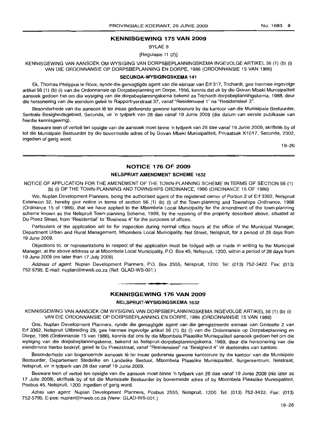# **KENNISGEWING 175 VAN 2009**

BYLAE 8

[Regulasie 11 (2)]

KENNISGEWING VAN AANSOEK OM WYSIGING VAN DORPSBEPLANNINGSKEMA INGEVOLGE ARTIKEL 56 (1) (b) (i) VAN DIE ORDONNANSIE OP DORPSBEPLANNING EN DORPE, 1986 (ORDONNANSIE 15 VAN 1986)

#### **SECUNDA-WYSIGINGSKEMA** 141

Ek, Thomas Philippus Ie Roux, synde die gemagtigde agent van die eienaar van Erf 317, Trichardt, gee hiermee ingevolge artikel 56 (1) (b) (i) van die Ordonnansie op Dorpsbeplanning en Dorpe, 1986, kennis dat ek by die Govan Mbeki Munisipaliteit aansoek gedoen het om die wysiging van die dorpsbeplanningskema bekend as Trichardt-dorpsbeplanningskema, 1988, deur die hersonering van die eiendom geleë te Rapportryerstraat 37, vanaf "Residensieel 1" na "Residensieel 3".

Besonderhede van die aansoek lê ter insae gedurende gewone kantoorure by die kantoor van die Munisipale Bestuurder, Sentrale Besigheidsgebied, Secunda, vir 'n tydperk van 28 dae vanaf 19 Junie 2009 (die datum van eerste publikasie van hierdie kennisgewing).

Besware teen of vertoë ten opsigte van die aansoek moet binne 'n tydperk van 28 dae vanaf 19 Junie 2009, skriftelik by of tot die Munisipale Bestuurder by die bovermelde adres of by Govan Mbeki Munisipaliteit, Privaatsak X1017, Secunda, 2302, ingedien of gerig word.

19-26

## **NOTICE 176 OF 2009**

#### **NELSPRUIT AMENDMENT SCHEME** 1632

NOTICE OF APPLICATION FOR THE AMENDMENT OF THE TOWN-PLANNING SCHEME IN TERMS OF SECTION 56 (1) (b) (i) OF THE TOWN-PLANNING AND TOWNSHIPS ORDINANCE, 1986 (ORDINANCE 15 OF 1986)

We, Nuplan Development Planners, being the authorised agent of the registered owner of Portion 2 of Erf 3362, Nelspruit Extension 32, hereby give notice in terms of section 56 (1) (b) (i) of the Town-planning and Townships Ordinance, 1986 (Ordinance 15 of 1986), that we have applied to the Mbombela Local Municipality for the amendment of the town-planning scheme known as the Nelspruit Town-planning Scheme, 1989, by the rezoning of the property described above, situated at Du Preez Street, from "Residential" to "Business 4" for the purposes of offices.

Particulars of the application will lie for inspection during normal office hours at the office of the Municipal Manager, Department Urban and Rural Management, Mbombela Local Municipality, Nel Street, Nelspruit, for a period of 28 days from 19 June 2009.

Objections to, or representations in respect of the application must be lodged with or made in writing to the Municipal Manager, at the above address or at Mbombela Local Municipality, P.O. Box 45, Nelspruit, 1200, within a period of 28 days from 19 June 2009 (no later than 17 July 2009).

Address of agent: Nuplan Development Planners, P.O. Box 2555, Nelspruit, 1200. Tel: (013) 752-3422. Fax: (013) 752-5795. E-mail: nuplan@mweb.co.za (Ref: GLAD-WS-001.)

#### **KENNISGEWING 176 VAN 2009**

**- .**

#### **NELSPRUIT-WYSIGINGSKEMA** 1632

KENNISGEWING VAN AANSOEK OM WYSIGING VAN DORPSBEPLANNINGSKEMA INGEVOLGE ARTIKEL 56 (1) (b) (i) VAN DIE ORDONNANSIE OP DORPSBEPLANNING EN DORPE, 1986 (ORDONNANSIE 15 VAN 1986)

Ons, Nuplan Development Planners, synde die gemagtigde agent van die geregistreerde eienaar van Gedeelte 2 van Erf 3362, Nelspruit Uitbreiding 29, gee hiermee ingevolge artikel 56 (1) (b) (i) van die Ordonnansie op Dorpsbeplanning en Dorpe, 1986 (Ordonnansie 15 van 1986), kennis dat ons by die Mbombela Plaaslike Munisipaliteit aansoek gedoen het om die wysiging van die dorpsbeplanningskema, bekend as Nelspruit-dorpsbeplanningskema, 1989, deur die hersonering van die eiendomme hierbo beskryf, geleë te Du Preezstraat, vanaf "Residensieel" na "Besigheid 4" vir doeleindes van kantore.

Besonderhede van bogenoemde aansoek lê ter insae gedurende gewone kantoorure by die kantoor van die Munisipale Bestuurder, Departement Stedelike en Landelike Bestuur, Mbombela Plaaslike Munisipaliteit, Burgersentrum, Nelstraat, Nelspruit, vir 'n tydperk van 28 dae vanaf 19 Junie 2009.

Besware teen of vertoë ten opsigte van die aansoek moet binne 'n tydperk van 28 dae vanaf 19 Junie 2009 (nie later as 17 Julie 2009), skriftelik by of tot die Munisipale Bestuurder by bovermelde adres of by Mbombela Plaaslike Munisipaliteit, Posbus 45, Nelspruit, 1200, ingedien of gerig word.

Adres van agent: Nuplan Development Planners, Posbus 2555, Nelspruit, 1200. Tel: (013) 752-3422. Fax: (013) 752-5795. E-pos: nuplan@mweb.co.za (Verw: GLAD-WS-001.)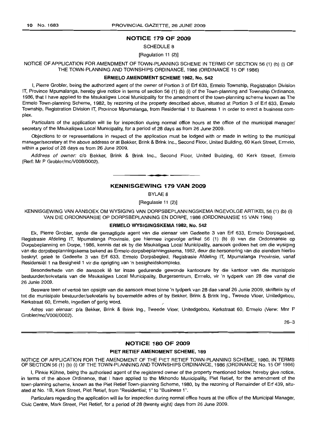# NOTICE 179 OF 2009

SCHEDULE 8

[Regulation 11 (2)]

## NOTICE OF APPLICATION FOR AMENDMENT OF TOWN-PLANNING SCHEME IN TERMS OF SECTION 56 (1) (b) (i) OF THE TOWN-PLANNING AND TOWNSHIPS ORDINANCE, 1986 (ORDINANCE 15 OF 1986)

## ERMELO AMENDMENT SCHEME 1982, No. 542

I, Pierre Grobler, being the authorized agent of the owner of Portion 3 of Erf 633, Ermelo Township, Registration Division IT, Province Mpumalanga, hereby give notice in terms of section 56 (1) (b) (i) of the Town-planning and Township Ordinance, 1986, that I have applied to the Msukaligwa Local Municipality for the amendment of the town-planning scheme known as The Ermelo Town-planning Scheme, 1982, by rezoning of the property described above, situated at Portion 3 of Erf 633, Ermelo Township, Registration Division IT, Province Mpumalanga, from Residential 1 to Business 1 in order to erect a business complex.

Particulars of the application will lie for inspection during normal office hours at the office of the municipal manager/ secretary of the Msukaliqwa Local Municipality, for a period of 28 days as from 26 June 2009.

Objections to or representations in respect of the application must be lodged with or made in writing to the municipal manager/secretary at the above address or at Bekker, Brink & Brink Inc., Second Floor, United Building, 60 Kerk Street, Ermelo, within a period of 28 days as from 26 June 2009.

Address of owner: c/o Bekker, Brink & Brink Inc., Second Floor, United Building, 60 Kerk Street, Ermelo (Rerf: Mr P Grobler/mc/V008/0002).

#### KENNISGEWING 179 VAN 2009

**•**

BYLAE 8

[Regulasie 11 (2)]

KENNISGEWING VAN AANSOEK OM WYSIGING VAN DORPSBEPLANNINGSKEMA INGEVOLGE ARTIKEL 56 (1) (b) (i) VAN DIE ORDONNANSIE OP DORPSBEPLANNING EN DORPE, 1986 (ORDONNANSIE 15 VAN 1986)

#### ERMELO WYSIGINGSKEMA 1982, No. 542

Ek, Pierre Grobler, synde die gemagtigde agent van die eienaar van Gedeelte 3 van Erf 633, Ermelo Dorpsgebied, Registrasie Afdeling IT, Mpumalanga Provinsie, gee hiermee ingevolge artikel 56 (1) (b) (i) van die Ordonnansie op Dorpsbeplanning en Dorpe, 1986, kennis dat ek by die Msukaligwa Local Municipality, aansoek gedoen het om die wysiging van die dorpsbeplanningskema bekend as Ermelo-dorpsbeplanningskema, 1982, deur die hersonering van die eiendom hierbo beskryf, geleë te Gedeelte 3 van Erf 633, Ermelo Dorpsbegied, Registrasie Afdeling IT, Mpumalanga Provinsie, vanaf Residensiël 1 na Besigheid 1 vir die oprigting van 'n besigheidskompleks.

Besonderhede van die aansoek lê ter insae gedurende gewonde kantoorure by die kantoor van die munisipale bestuurder/sekretaris van die Msukaligwa Local Municipality, Burgersentrum, Ermelo, vir 'n tydperk van 28 dae vanaf die 26 Junie 2009.

Besware teen of vertoë ten opsigte van die aansoek moet binne 'n tydperk van 28 dae vanaf 26 Junie 2009, skriftelik by of tot die munisipale bestuurder/sekretaris by bovermelde adres of by Bekker, Brink & Brink Ing., Tweede Vloer, Unitedgebou, Kerkstraat 60, Ermelo, ingedien of gerig word.

Adres van eienaar: p/a Bekker, Brink & Brink Ing., Tweede Vloer, Unitedgebou, Kerkstraat 60, Ermelo (Verw: Mnr P Grobler/mcN008/0002).

26-3

#### NOTICE 180 OF 2009

#### PIET RETIEF AMENDMENT SCHEME, 189

NOTICE OF APPLICATION FOR THE AMENDMENT OF THE PIET RETIEF TOWN-PLANNING SCHEME, 1980, IN TERMS OF SECTION 56 (1) (b) (i) OF THE TOWN-PLANNING AND TOWNSHIPS ORDINANCE, 1986 (ORDINANCE No. 15 OF 1986)

I, Pinkie Kuhne, being the authorised agent of the registered owner of the property mentioned below, hereby give notice, in terms of the above Ordinance, that I have applied to the Mkhondo Municipality, Piet Retief, for the amendment of the town-planning scheme, known as the Piet Retief Town-planning Scheme, 1980, by the rezoning of Remainder of Erf 439, situated at No.1 B, Kerk Street, Piet Retief, from "Residential; 1" to "Business 1".

Particulars regarding the application will lie for inspection during normal office hours at the office of the Municipal Manager, Civic Centre, Mark Street, Piet Retief, for a period of 28 (twenty eight) days from 26 June 2009.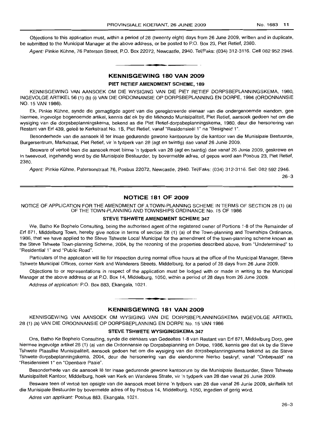Objections to this application must, within a period of 28 (tweenty eight) days from 26 June 2009, written and in duplicate, be submitted to the Municipal Manager at the above address, or be posted to P.O. Box 23, Piet Retief, 2380.

Agent: Pinkie Kühne, 76 Paterson Street, P.O. Box 22072, Newcastle, 2940. Tel/Faks: (034) 312-3116. Cell 082 952 2946.

# **•** KENNISGEWING 180 VAN 2009

#### PIET RETIEF AMENDMENT SCHEME, 189

KENNISGEWING VAN AANSOEK OM DIE WYSIGING VAN DIE PIET RETIEF DORPSBEPLANNINGSKEMA, 1980, INGEVOLGE ARTIKEL 56 (1) (b) (i) VAN DIE ORDONNANSIE OP DORPSBEPLANNING EN DORPE, 1986 (ORDONNANSIE NO. 15 VAN 1986).

Ek, Pinkie Kuhne, synde die gemagtigde agent van die geregistreerde eienaar van die ondergenoemde eiendom, gee hiermee, ingevolge bogenoemde artikel, kennis dat ek by die Mkhondo Munisipaliteit, Piet Retief, aansoek gedoen het om die wysiging van die dorpsbeplanningskema, bekend as die Piet Retief-dorpsbeplanningskema, 1980, deur die hersonering van Restant van Erf 439, geleê te Kerkstraat No. 1B, Piet Retief, vanaf "Residensieël 1" na "Besigheid 1".

Besonderhede van die aansoek lê ter insae gedurende gewone kantoorure by die kantoor van die Munisipale Bestuurde, Burgersentrum, Markstraat, Piet Retief, vir 'n tydperk van 28 (agt en twintig) dae vanaf 26 Junie 2009.

Besware of vertoë teen die aansoek moet binne 'n tydperk van 28 (agt en twintig) dae vanaf 26 Junie 2009, geskrewe en in tweevoud, ingehandig word by die Munisipale Bestuurder, by bovermelde adres, of gepos word aan Posbus 23, Piet Retief, 2380.

Agent: Pinkie Kühne, Patersonstraat 76, Posbus 22072, Newcastle, 2940. Tel/Faks: (034) 312-3116. Sel: 082 592 2946.

26-3

# NOTICE 181 OF 2009

NOTICE OF APPLICATION FOR THE AMENDMENT OF A TOWN-PLANNING SCHEME IN TERMS OF SECTION 28 (1) (a) OF THE TOWN-PLANNING AND TOWNSHIPS ORDINANCE No. 15 OF 1986

#### STEVE TSHWETE AMENDMENT SCHEME 347

We, Batho Ke Bophelo Consulting, being the authorised agent of the registered owner of Portions 1-8 of the Remainder of Erf 871, Middelburg Town, hereby give notice in terms of section 28 (1) (a) of the Town-planning and Townships Ordinance, 1986, that we have applied to the Steve Tshwete Local Municipal for the amendment of the town-planning scheme known as the Steve Tshwete Town-planning Scheme, 2004, by the rezoning of the properties described above, from "Undetermined" to "Residential 1" and "Public Road".

Particulars of the application will lie for inspection during normal office hours at the office of the Municipal Manager, Steve Tshwete Municipal Offices, corner Kerk and Wanderers Streets, Middelburg, for a period of 28 days from 26 June 2009.

Objections to or representations in respect of the application must be lodged with or made in writing to the Municipal Manager at the above address or at P.O. Box 14, Middelburg, 1050, within a period of 28 days from 26 June 2009.

Address of application: P.O. Box 883, Ekangala, 1021.

#### KENNISGEWING 181 VAN 2009

**• •**

KENNISGEWING VAN AANSOEK OM WYSIGING VAN DIE DORPSBEPLANNINGSKEMA INGEVOLGE ARTIKEL 28 (1) (a) VAN DIE ORDONNANSIE OP DORPSBEPLANNING EN DORPE No. 15 VAN 1986

#### STEVE TSHWETE WYSIGINGSKEMA 347

Ons, Batho Ke Bophelo Consulting, synde die eienaars van Gedeeltes 1-8 van Restant van Erf 871, Middelburg Dorp, gee hiermee ingevolge artikel 28 (1) (a) van die Ordonnansie op Dorpsbeplanning en Dorpe, 1986, kennis gee dat ek by die Steve Tshwete Plaaslike Munisipaliteit, aansoek gedoen het om die wysiging van die dorpsbeplanningskema bekend as die Steve Tshwete-dorpsbeplanningskema, 2004, deur die hersonering van die eiendomme hierbo beskryf, vanaf "Onbepaald" na "Residensieel 1" en "Openbare Paaie",

Besonderhede van die aansoek lê ter insae gedurende gewone kantoorure by die Munisipale Bestuurder, Steve Tshwete Munisipaliteit Kantoor, Middelburg, hoek van Kerk en Wanderes Strate, vir 'n tydperk van 28 dae vanaf 26 Junie 2009.

Besware teen of vertoë ten opsigte van die aansoek moet binne 'n tydperk van 28 dae vanaf 26 Junie 2009, skriftelik tot die Munisipale Bestuurder by bovermelde adres of by Posbus 14, Middelburg, 1050, ingedien of gerig word.

Adres van applikant: Posbus 883, Ekangala, 1021.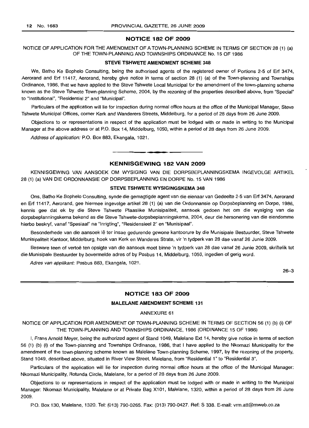#### **NOTICE 182 OF 2009**

NOTICE OF APPLICATION FOR THE AMENDMENT OF A TOWN-PLANNING SCHEME IN TERMS OF SECTION 28 (1) (a) OF THE TOWN-PLANNING AND TOWNSHIPS ORDINANCE No. 15 OF 1986

#### **STEVE TSHWETE AMENDMENT SCHEME 348**

We, Batho Ke Bophelo Consulting, being the authorised agents of the registered owner of Portions 2-5 of Erf 3474, Aerorand and Erf 11417, Aerorand, hereby give notice in terms of section 28 (1) (a) of the Town-planning and Townships Ordinance, 1986, that we have applied to the Steve Tshwete Local Municipal for the amendment of the town-planning scheme known as the Steve Tshwete Town-planning Scheme, 2004, by the rezoning of the properties described above, from "Special" to "Institutional", "Residential 2" and "Municipal".

Particulars of the application will lie for inspection during normal office hours at the office of the Municipal Manager, Steve Tshwete Municipal Offices, corner Kerk and Wanderers Streets, Middelburg, for a period of 28 days from 26 June 2009.

Objections to or representations in respect of the application must be lodged with or made in writing to the Municipal Manager at the above address or at P.O. Box 14, Middelburg, 1050, within a period of 28 days from 26 June 2009.

Address of application: P.O. Box 883, Ekangala, 1021.

## **KENNISGEWING 182 VAN 2009**

**-**

KENNISGEWING VAN AANSOEK OM WYSIGING VAN DIE DORPSBEPLANNINGSKEMA INGEVOLGE ARTIKEL 28 (1) (a) VAN DIE ORDONNANSIE OP DORPSBEPLANNING EN DORPE No. 15 VAN 1986

#### **STEVE TSHWETE WYSIGINGSKEMA 348**

Ons, Batho Ke Bophelo Consulting, synde die gemagtigde agent van die eienaar van Gedeelte 2-5 van Erf 3474, Aerorand en Erf 11417, Aerorand, gee hiermee ingevolge artikel 28 (1) (a) van die Ordonnansie op Dorpsbeplanning en Dorpe, 1986, kennis gee dat ek by die Steve Tshwete Plaaslike Munisipaliteit, aansoek gedoen het om die wysiging van die dorpsbeplanningskema bekend as die Steve Tshwete-dorpsbeplanningskema, 2004, deur die hersonering van die eiendomme hierbo beskryf, vanaf "Spesiaal'' na "Inrigting", "Residensieel 2" en "Munisipaal".

Besonderhede van die aansoek lê ter insae gedurende gewone kantoorure by die Munisipale Bestuurder, Steve Tshwete Munisipaliteit Kantoor, Middelburg, hoek van Kerk en Wanderes Strate, vir 'n tydperk van 28 dae vanaf 26 Junie 2009.

Besware teen of vertoë ten opsigte van die aansoek moet binne 'n tydperk van 28 dae vanaf 26 Junie 2009, skriftelik tot die Munisipale Bestuurder by bovermelde adres of by Posbus 14, Middelburg, 1050, ingedien of gerig word.

Adres van applikant: Posbus 883, Ekangala, 1021.

26-3

# **NOTICE 183 OF 2009**

#### **MALELANE AMENDMENT SCHEME 131**

#### ANNEXURE 61

NOTICE OF APPLICATION FOR AMENDMENT OF TOWN-PLANNING SCHEME IN TERMS OF SECTION 56 (1) (b) (i) OF THE TOWN-PLANNING AND TOWNSHIPS ORDINANCE, 1986 (ORDINANCE 15 OF 1986)

I, Frans Arnold Meyer, being the authorized agent of Stand 1049, Malelane Ext 14, hereby give notice in terms of section 56 (1) (b) (i) of the Town-planning and Townships Ordinance, 1986, that I have applied to the Nkomazi Municipality for the amendment of the town-planning scheme known as Malelane Town-planning Scheme, 1997, by the rezoning of the property, Stand 1049, described above, situated in River View Street, Malelane, from "Residential 1" to "Residential 3".

Particulars of the application will lie for inspection during normal office hours at the office of the Municipal Manager: Nkomazi Municipality, Rotunda Circle, Malelane, for a period of 28 days from 26 June 2009.

Objections to or representations in respect of the application must be lodged with or made in writing to the Municipal Manager: Nkomazi Municipality, Malelane or at Private Bag X101, Malelane, 1320, within a period of 28 days from 26 June 2009.

P.O. Box 130, Malelane, 1320. Tel: (013) 790-0265. Fax: (013) 790-0427. Ref: S 338. E-mail: vrm.att@mweb.co.za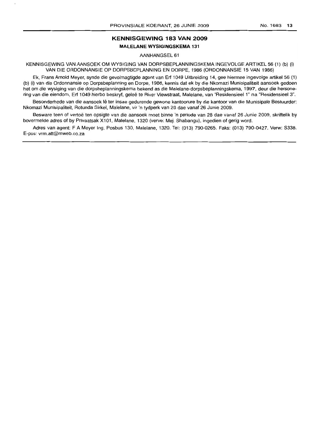# **KENNISGEWING 183 VAN 2009 MALELANE WYSIGINGSKEMA 131**

AANHANGSEL 61

KENNISGEWING VAN AANSOEK OM WYSIGING VAN DORPSBEPLANNINGSKEMA INGEVOLGE ARTIKEL 56 (1) (b) (i) VAN DIE ORDONNANSIE OP DORPSBEPLANNING EN DORPE, 1986 (ORDONNANSIE 15 VAN 1986)

Ek, Frans Arnold Meyer, synde die gevolmagtigde agent van Erf 1049 Uitbreiding 14, gee hiermee ingevolge artikel 56 (1) (b) (i) van die Ordonnansie op Dorpsbeplanning en Dorpe, 1986, kennis dat ek by die Nkomazi Munisipaliteit aansoek gedoen het om die wysiging van die dorpsbeplanningskema bekend as die Malelane-dorpsbeplanningskema, 1997, deur die hersonering van die eiendom, Erf 1049 hierbo beskryf, qelee te River Viewstraat, Malelane, van "Residensieel 1" na "Residensieel 3".

Besonderhede van die aansoek lê ter insae gedurende gewone kantoorure by die kantoor van die Munisipale Bestuurder: Nkomazi Munisipaliteit, Rotunda Sirkel, Malelane, vir 'n tydperk van 28 dae vanaf 26 Junie 2009.

Besware teen of vertoë ten opsigte van die aansoek moet binne 'n periode van 28 dae vanaf 26 Junie 2009, skriftelik by bovermelde adres of by Privaatsak X101, Malelane, 1320 (verve: Mej. Shabangu), ingedien of gerig word.

Adres van agent: F A Meyer lng, Posbus 130, Malelane, 1320. Tel: (013) 790-0265. Faks: (013) 790-0427. Verw: S338. E-pos: vrm.att@mweb.co.za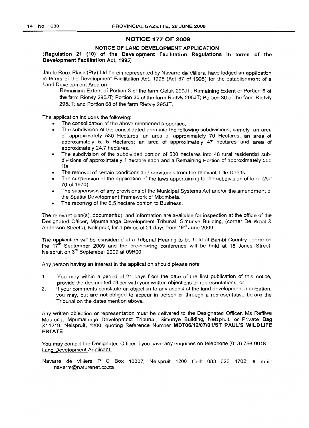# NOTICE 177 OF 2009

## NOTICE OF LAND DEVELOPMENT APPLICATION

#### (Regulation 21 (10) of the Development Facilitation Regulations in terms of the Development Facilitation Act, 1995)

Jan Ie Roux Plase (Pty) Ltd herein represented by Navarre de Villiers, have lodged an application in terms of the Development Facilitation Act, 1995 (Act 67 of 1995) for the establishment of a Land Development Area on:

Remaining Extent of Portion 3 of the farm Geluk 299JT; Remaining Extent of Portion 6 of the farm Rietvly 295JT; Portion 35 of the farm Rietvly 295JT; Portion 36 of the farm Rietvly 295JT; and Portion 68 of the farm Rietvly 295JT.

The application includes the following:

- The consolidation of the above mentioned properties;
- The subdivision of the consolidated area into the following subdivisions, namely an area of approximately 530 Hectares; an area of approximately 70 Hectares; an area of approximately 5, 5 Hectares; an area of approximately 47 hectares and area of approximately 24,7 hectares.
- The subdivision of the subdivided portion of 530 hectares into 48 rural residential subdivisions of approximately 1 hectare each and a Remaining Portion of approximately 500 Ha.
- The removal of certain conditions and servitudes from the relevant Title Deeds.
- The suspension of the application of the laws appertaining to the subdivision of land (Act 70 of 1970).
- The suspension of any provisions of the Municipal Systems Act and/or the amendment of the Spatial Development Framework of Mbombela.
- The rezoning of the 5,5 hectare portion to Business.

The relevant plan(s), document(s), and information are available for inspection at the office of the Designated Officer, Mpumalanga Development Tribunal, Simunye Building, (corner De Waal & Anderson Streets), Nelspruit, for a period of 21 days from 19<sup>th</sup> June 2009.

The application will be considered at a Tribunal Hearing to be held at Bambi Country Lodge on the  $17<sup>th</sup>$  September 2009 and the pre-hearing conference will be held at 18 Jones Street, Nelspruit on 3'd September 2009 at 09HOO.

Any person having an interest in the application should please note:

- 1 You may within a period of 21 days from the date of the first publication of this notice, provide the designated officer with your written objections or representations, or
- 2. If your comments constitute an objection to any aspect of the land development application, you may, but are not. obliged to appear in person or through a representative before the Tribunal on the dates mention above.

Any written objection or representation must be delivered to the Designated Officer, Ms Refilwe Motaung, Mpumalanga Development Tribunal, Simunye Building, Nelspruit, or Private Bag X11219, Nelspruit, 1200, quoting Reference Number MDT06/12/07/01/ST PAUL'S WILDLIFE ESTATE

You may contact the Designated Officer if you have any enquiries on telephone (013) 756 9018. Land Development Applicant:

Navarre de Villiers P O Box 10007, Nelspruit 1200 Cell: 083 626 4702; e mail: navarre@naturenet.co.za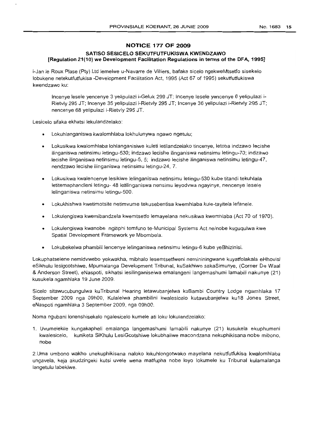## **NOTICE 177 OF 2009**

# **SATISO SESICELO SEKUTFUTFUKISWA KWENDZAWO [Regulation 21(10) we Development Facilitation Regulations in terms** of the **DFA, 1995]**

i-Jan le Roux Plase (Pty) Ltd lemelwe u-Navarre de Villiers, bafake sicelo ngekweMtsetfo sisekelo lobukene netekutfutfukisa -Development Facilitation Act, 1995 (Act 67 of 1995) sekutfutfukiswa kwendzawo ku:

Incenye lesele yencenye 3 yelipulazi i-Geluk 299 JT; Incenye lesele yencenye 6 yelipulazi i-Rietvly 295 JT; Incenye 35 yelipulazi i-Rietvly 295 JT; Incenye 36 yelipulazi i-Rietvly 295 JT; nencenye 68 yelipulazi i-Rietvly 295 JT.

Lesicelo sifaka ekhatsi lekulandzelako:

- Lokuhlanganiswa kwalomhlaba lokhulunywa ngawo ngetulu;
- Lokusikwa kwalomhlaba lohlanganisiwe kuleti letilandzelako tincenye, letoba indzawo lecishe ilinganiswa netinsimu letingu-530; indzawo lecishe ilinganiswa netinsimu letingu-70; indzawo lecishe ilinganiswa netinsimu letingu-5, 5; indzawo lecishe ilinganiswa netinsimu letingu-47, nendzawo lecishe ilinganiswa netinsimu letingu-24, 7.
- Lokusikwa kwalencenye lesikiwe lelinganiswa netinsimu letingu-530 kube titandi tekuhlala letitemaphandleni letingu- 48 letilinganiswa nensimu leyodvwa ngayinye, nencenye lesele lelinganiswa netinsimu letingu-500.
- Lokukhishwa kwetimotsite netimvume tekusebentisa kwemhlaba kule-tayitela lefanele.
- Lokulengiswa kwemibandzela kwemtsetfo lemayelana nekusikwa kwemhlaba (Act 70 of 1970).
- Lokulengiswa kwanobe ngitiphi temfuno te-Municipal Systems Act ne/nobe kuguqulwa kwe Spatial Development Framework ye Mbombela.
- Lokubekelwa phambili lencenye lelinganiswa netinsimu letingu-6 kube yeBhizinisi.

Lokuphatselene nemidvwebo yekwakha, mibhalo lesemtsetfweni nemininingwane kuyatfolakala eHhovisi eSikhulu lesigcotshiwe, Mpumalanga Development Tribunal. kuSakhiwo sakaSimunye, (Corner De Waal & Anderson Street), eNaspoti, sikhatsi lesilinganiselwa emalangeni langemashumi lamabili nakunye (21) kusukela ngamhlaka 19 June 2009.

Sicelo sitawucubungulwa kuTribunal Hearing letawubanjelwa kuBambi Country Lodge ngamhlaka 17 September 2009 nga 09hOO, Kulalelwa phambilini kwalesicelo kutawubanjelwa ku18 Jones Street, eNaspoti ngamhlaka 3 September 2009, nga 09hOO.

Noma ngubani lonenshisekelo ngalesicelo kumele ati loku lokulandzelako:

1. Uvumelekile kungakapheli emalanga langemashumi lamabili nakunye (21) kusukela ekuphumeni kwalesicelo, kuniketa SiKhulu LesiGcotshiwe lokubhaliwe macondzana nekuphikisana nobe mibono, nobe

2.Uma umbono wakho unekuphikisana naloko lokuhlongotwako mayelana nekutfutfukisa kwalomhlaba ungavela, keja akudzingeki kutsi uvele wena matfupha nobe loyo lokumele ku Tribunal kulamalanga langetulu labekiwe.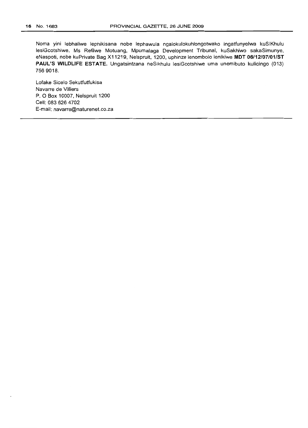Noma yini lebhaliwe lephikisana nobe lephawula ngalokulokuhlongotwako ingatfunyelwa kuSiKhulu lesiGcotshiwe, Ms Refilwe Motuang, Mpumalaga Development Tribunal, kuSakhiwo sakaSimunye, eNaspoti, nobe kuPrivate Bag X11219, Nelspruit, 1200, uphinze lenombolo lenikiwe **MDT** *06/12/07/01/ST* **PAUL'S WILDLIFE ESTATE.** Ungatsintzana neSikhulu lesiGcotshiwe uma unemibuto kulicingo (013) 7569018.

Lofake Sicelo Sekutfutfukisa Navarre de Villiers P. OBox 10007, Nelspruit 1200 Cell: 0836264702 E-mail: navarre@naturenet.co.za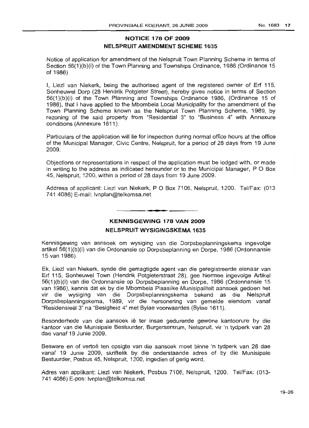# **NOTICE 178 OF 2009 NELSPRUIT AMENDMENT SCHEME 1635**

Notice of application for amendment of the Nelspruit Town Planning Scheme in terms of Section 56(1)(b)(i) of the Town Planning and Townships Ordinance, 1986 (Ordinance 15 of 1986)

I, Liezl van Niekerk, being the authorised agent of the registered owner of Erf 115, Sonheuwel Dorp (28 Hendrik Potgieter Street), hereby gives notice in terms of Section 56(1)(b)(i) of the Town Planning and Townships Ordinance 1986, (Ordinance 15 of 1986), that I have applied to the Mbombela Local Municipality for the amendment of the Town Planning Scheme known as the Nelspruit Town Planning Scheme, 1989, by rezoning of the said property from "Residential 3" to "Business 4" with Annexure conditions (Annexure 1611).

Particulars of the application will lie for inspection during normal office hours at the office of the Municipal Manager, Civic Centre, Nelspruit, for a period of 28 days from 19 June 2009.

Objections or representations in respect of the application must be lodged with, or made in writing to the address as indicated hereunder or to the Municipal Manager, P O Box 45, Nelspruit, 1200, within a period of 28 days from 19 June 2009.

Address of applicant: Liezl van Niekerk, P O Box 7106, Nelspruit, 1200. Tel/Fax: (013 741 4086) E-mail: Ivnplan@telkomsa.net

# • **- I KENNISGEWING 178 VAN 2009**

# **NELSPRUIT WYSIGINGSKEMA 1635**

Kennisgewing van aansoek om wysiging van die Dorpsbeplanningskema ingevolge artikel 56(1 )(b)(i) van die Ordonansie op Dorpsbeplanning en Dorpe, 1986 (Ordonnansie 15van 1986)

Ek, Liezl van Niekerk, synde die gemagtigde agent van die geregistreerde eienaar van Erf 115, Sonheuwel Town (Hendrik Potqieterstraat 28), gee hiermee ingevolge Artikel 56(1 )(b)(i) van die Ordonnansie op Dorpsbeplanning en Dorpe, 1986 (Ordonnansie 15 van 1986), kennis dat ek by die Mbombela Plaaslike Munisipaliteit aansoek gedoen het vir die wysiging van die Dorpsbeplanningskema bekend as die Nelspruit Dorpsbeplanningskema, 1989, vir die hersonering van gemelde eiendom vanaf "Residensieel 3" na "Besigheid 4" met Bylae voorwaardes (Bylae 1611).

Besonderhede van die aansoek lê ter insae gedurende gewone kantoorure by die kantoor van die Munisipale Bestuurder, Burgersentrum, Nelspruit, vir 'n tydperk van 28 dae vanaf 19 Junie 2009.

Besware en of vertoë ten opsigte van die aansoek moet binne 'n tydperk van 28 dae vanaf 19 Junie 2009, skriftelik by die onderstaande adres of by die Munisipale Bestuurder, Posbus 45, Nelspruit, 1200, ingedien of gerig word.

Adres van applikant: Liezl van Niekerk, Posbus 7106, Nelspruit, 1200. Tel/Fax: (013-741 4086) E-pos: Ivnplan@telkomsa.net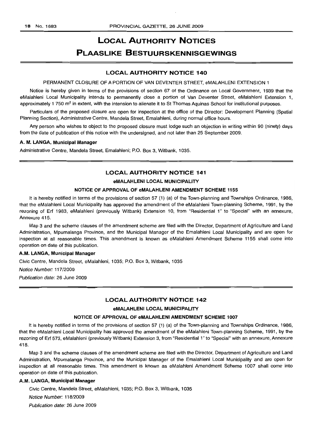# LOCAL AUTHORITY NOTICES PLAASLIKE BESTUURSKENNISGEWINGS

#### LOCAL AUTHORITY NOTICE 140

#### PERMANENT CLOSURE OF A PORTION OF VAN DEVENTER STREET, eMALAHLENI EXTENSION 1

Notice is hereby given in terms of the provisions of section 67 of the Ordinance on Local Government, 1939 that the eMalahleni Local Municipality intends to permanently close a portion of Van Deventer Street, eMalahleni Extension 1, approximately 1 750 m<sup>2</sup> in extent, with the intension to alienate it to St Thomas Aquinas School for institutional purposes.

Particulars of the proposed closure are open for inspection at the office of the Director: Development Planning (Spatial Planning Section), Administrative Centre, Mandela Street, Emalahleni, during normal office hours.

Any person who wishes to object to the proposed closure must lodge such an objection in writing within 90 (ninety) days from the date of publication of this notice with the undersigned, and not later than 25 September 2009.

#### A. M. LANGA, Municipal Manager

Administrative Centre, Mandela Street, Emalahleni; P.O. Box 3, Witbank, 1035.

# LOCAL AUTHORITY NOTICE 141

#### eMALAHLENI LOCAL MUNICIPALITY

#### NOTICE OF APPROVAL OF eMALAHLENI AMENDMENT SCHEME 1155

It is hereby notified in terms of the provisions of section 57 (1) (a) of the Town-planning and Townships Ordinance, 1986, that the eMalahleni Local Municipality has approved the amendment of the eMalahleni Town-planning Scheme, 1991, by the rezoning of Erf 1983, eMalahleni (previously Witbank) Extension 10, from "Residential 1" to "Special" with an annexure, Annexure 415.

Map 3 and the scheme clauses of the amendment scheme are filed with the Director, Department of Agriculture and Land Administration, Mpumalanga Province, and the Municipal Manager of the Emalahleni Local Municipality and are open for inspection at all reasonable times. This amendment is known as eMalahleni Amendment Scheme 1155 shall come into operation on date of this publication.

#### A.M. LANGA, Municipal Manager

Civic Centre, Mandela Street, eMalahleni, 1035; P.O. Box 3, Witbank, 1035

Notice Number: 117/2009

Publication date: 26 June 2009

#### LOCAL AUTHORITY NOTICE 142

#### eMALAHLENI LOCAL MUNICIPALITY

#### NOTICE OF APPROVAL OF eMALAHLENI AMENDMENT SCHEME 1007

It is hereby notified in terms of the provisions of section 57 (1) (a) of the Town-planning and Townships Ordinance, 1986, that the eMalahleni Local Municipality has approved the amendment of the eMalahleni Town-planning Scheme, 1991, by the rezoning of Erf 573, eMalahleni (previously Witbank) Extension 3, from "Residential 1" to "Special" with an annexure, Annexure 418.

Map 3 and the scheme clauses of the amendment scheme are filed with the Director, Department of Agriculture and Land Administration, Mpumalanga Province, and the Municipal Manager of the Emalahleni Local Municipality and are open for inspection at all reasonable times. This amendment is known as eMalahleni Amendment Scheme 1007 shall come into operation on date of this publication.

#### A.M. LANGA, Municipal Manager

Civic Centre, Mandela Street, eMalahleni, 1035; P.O. Box 3, Witbank, 1035

Notice Number: 118/2009

Publication date: 26 June 2009